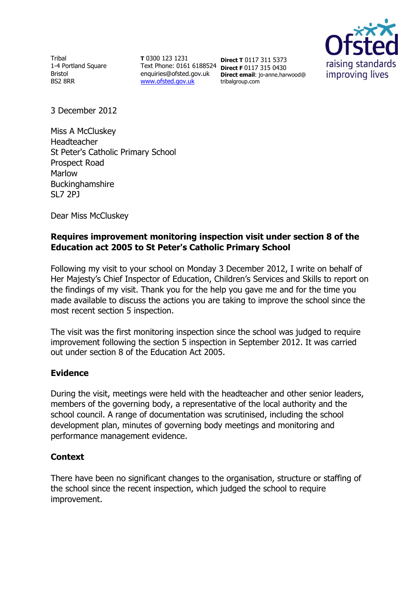Tribal 1-4 Portland Square Bristol BS2 8RR

**T** 0300 123 1231 Text Phone: 0161 6188524 **Direct F** 0117 315 0430 enquiries@ofsted.gov.uk [www.ofsted.gov.uk](http://www.ofsted.gov.uk/)

**Direct T** 0117 311 5373 **Direct email**: jo-anne.harwood@ tribalgroup.com



3 December 2012

Miss A McCluskey Headteacher St Peter's Catholic Primary School Prospect Road Marlow **Buckinghamshire** SL7 2PJ

Dear Miss McCluskey

# **Requires improvement monitoring inspection visit under section 8 of the Education act 2005 to St Peter's Catholic Primary School**

Following my visit to your school on Monday 3 December 2012, I write on behalf of Her Majesty's Chief Inspector of Education, Children's Services and Skills to report on the findings of my visit. Thank you for the help you gave me and for the time you made available to discuss the actions you are taking to improve the school since the most recent section 5 inspection.

The visit was the first monitoring inspection since the school was judged to require improvement following the section 5 inspection in September 2012. It was carried out under section 8 of the Education Act 2005.

# **Evidence**

During the visit, meetings were held with the headteacher and other senior leaders, members of the governing body, a representative of the local authority and the school council. A range of documentation was scrutinised, including the school development plan, minutes of governing body meetings and monitoring and performance management evidence.

# **Context**

There have been no significant changes to the organisation, structure or staffing of the school since the recent inspection, which judged the school to require improvement.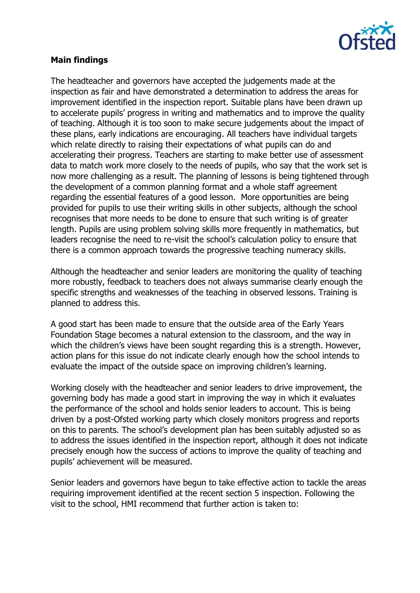

# **Main findings**

The headteacher and governors have accepted the judgements made at the inspection as fair and have demonstrated a determination to address the areas for improvement identified in the inspection report. Suitable plans have been drawn up to accelerate pupils' progress in writing and mathematics and to improve the quality of teaching. Although it is too soon to make secure judgements about the impact of these plans, early indications are encouraging. All teachers have individual targets which relate directly to raising their expectations of what pupils can do and accelerating their progress. Teachers are starting to make better use of assessment data to match work more closely to the needs of pupils, who say that the work set is now more challenging as a result. The planning of lessons is being tightened through the development of a common planning format and a whole staff agreement regarding the essential features of a good lesson. More opportunities are being provided for pupils to use their writing skills in other subjects, although the school recognises that more needs to be done to ensure that such writing is of greater length. Pupils are using problem solving skills more frequently in mathematics, but leaders recognise the need to re-visit the school's calculation policy to ensure that there is a common approach towards the progressive teaching numeracy skills.

Although the headteacher and senior leaders are monitoring the quality of teaching more robustly, feedback to teachers does not always summarise clearly enough the specific strengths and weaknesses of the teaching in observed lessons. Training is planned to address this.

A good start has been made to ensure that the outside area of the Early Years Foundation Stage becomes a natural extension to the classroom, and the way in which the children's views have been sought regarding this is a strength. However, action plans for this issue do not indicate clearly enough how the school intends to evaluate the impact of the outside space on improving children's learning.

Working closely with the headteacher and senior leaders to drive improvement, the governing body has made a good start in improving the way in which it evaluates the performance of the school and holds senior leaders to account. This is being driven by a post-Ofsted working party which closely monitors progress and reports on this to parents. The school's development plan has been suitably adjusted so as to address the issues identified in the inspection report, although it does not indicate precisely enough how the success of actions to improve the quality of teaching and pupils' achievement will be measured.

Senior leaders and governors have begun to take effective action to tackle the areas requiring improvement identified at the recent section 5 inspection. Following the visit to the school, HMI recommend that further action is taken to: